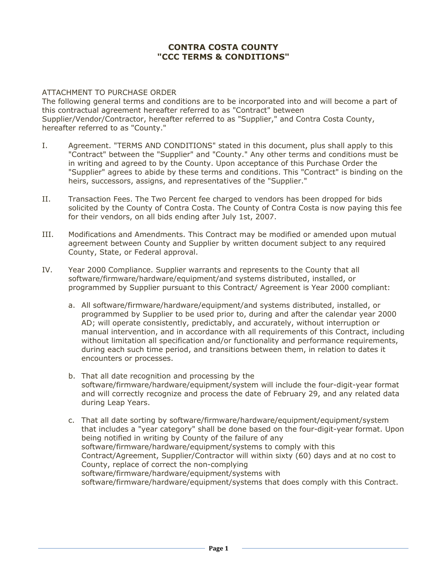## **CONTRA COSTA COUNTY "CCC TERMS & CONDITIONS"**

## ATTACHMENT TO PURCHASE ORDER

The following general terms and conditions are to be incorporated into and will become a part of this contractual agreement hereafter referred to as "Contract" between Supplier/Vendor/Contractor, hereafter referred to as "Supplier," and Contra Costa County, hereafter referred to as "County."

- I. Agreement. "TERMS AND CONDITIONS" stated in this document, plus shall apply to this "Contract" between the "Supplier" and "County." Any other terms and conditions must be in writing and agreed to by the County. Upon acceptance of this Purchase Order the "Supplier" agrees to abide by these terms and conditions. This "Contract" is binding on the heirs, successors, assigns, and representatives of the "Supplier."
- II. Transaction Fees. The Two Percent fee charged to vendors has been dropped for bids solicited by the County of Contra Costa. The County of Contra Costa is now paying this fee for their vendors, on all bids ending after July 1st, 2007.
- III. Modifications and Amendments. This Contract may be modified or amended upon mutual agreement between County and Supplier by written document subject to any required County, State, or Federal approval.
- IV. Year 2000 Compliance. Supplier warrants and represents to the County that all software/firmware/hardware/equipment/and systems distributed, installed, or programmed by Supplier pursuant to this Contract/ Agreement is Year 2000 compliant:
	- a. All software/firmware/hardware/equipment/and systems distributed, installed, or programmed by Supplier to be used prior to, during and after the calendar year 2000 AD; will operate consistently, predictably, and accurately, without interruption or manual intervention, and in accordance with all requirements of this Contract, including without limitation all specification and/or functionality and performance requirements, during each such time period, and transitions between them, in relation to dates it encounters or processes.
	- b. That all date recognition and processing by the software/firmware/hardware/equipment/system will include the four-digit-year format and will correctly recognize and process the date of February 29, and any related data during Leap Years.
	- c. That all date sorting by software/firmware/hardware/equipment/equipment/system that includes a "year category" shall be done based on the four-digit-year format. Upon being notified in writing by County of the failure of any software/firmware/hardware/equipment/systems to comply with this Contract/Agreement, Supplier/Contractor will within sixty (60) days and at no cost to County, replace of correct the non-complying software/firmware/hardware/equipment/systems with software/firmware/hardware/equipment/systems that does comply with this Contract.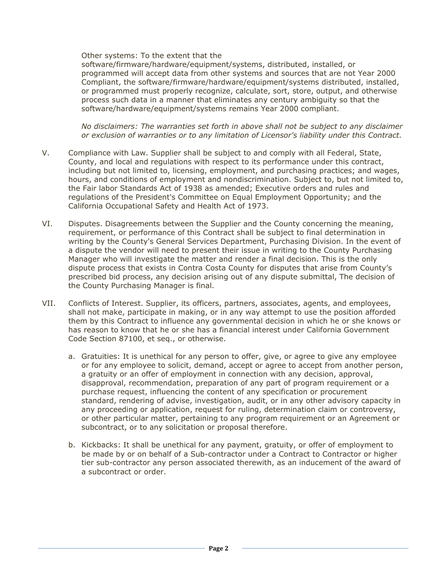Other systems: To the extent that the

software/firmware/hardware/equipment/systems, distributed, installed, or programmed will accept data from other systems and sources that are not Year 2000 Compliant, the software/firmware/hardware/equipment/systems distributed, installed, or programmed must properly recognize, calculate, sort, store, output, and otherwise process such data in a manner that eliminates any century ambiguity so that the software/hardware/equipment/systems remains Year 2000 compliant.

*No disclaimers: The warranties set forth in above shall not be subject to any disclaimer or exclusion of warranties or to any limitation of Licensor's liability under this Contract.*

- V. Compliance with Law. Supplier shall be subject to and comply with all Federal, State, County, and local and regulations with respect to its performance under this contract, including but not limited to, licensing, employment, and purchasing practices; and wages, hours, and conditions of employment and nondiscrimination. Subject to, but not limited to, the Fair labor Standards Act of 1938 as amended; Executive orders and rules and regulations of the President's Committee on Equal Employment Opportunity; and the California Occupational Safety and Health Act of 1973.
- VI. Disputes. Disagreements between the Supplier and the County concerning the meaning, requirement, or performance of this Contract shall be subject to final determination in writing by the County's General Services Department, Purchasing Division. In the event of a dispute the vendor will need to present their issue in writing to the County Purchasing Manager who will investigate the matter and render a final decision. This is the only dispute process that exists in Contra Costa County for disputes that arise from County's prescribed bid process, any decision arising out of any dispute submittal, The decision of the County Purchasing Manager is final.
- VII. Conflicts of Interest. Supplier, its officers, partners, associates, agents, and employees, shall not make, participate in making, or in any way attempt to use the position afforded them by this Contract to influence any governmental decision in which he or she knows or has reason to know that he or she has a financial interest under California Government Code Section 87100, et seq., or otherwise.
	- a. Gratuities: It is unethical for any person to offer, give, or agree to give any employee or for any employee to solicit, demand, accept or agree to accept from another person, a gratuity or an offer of employment in connection with any decision, approval, disapproval, recommendation, preparation of any part of program requirement or a purchase request, influencing the content of any specification or procurement standard, rendering of advise, investigation, audit, or in any other advisory capacity in any proceeding or application, request for ruling, determination claim or controversy, or other particular matter, pertaining to any program requirement or an Agreement or subcontract, or to any solicitation or proposal therefore.
	- b. Kickbacks: It shall be unethical for any payment, gratuity, or offer of employment to be made by or on behalf of a Sub-contractor under a Contract to Contractor or higher tier sub-contractor any person associated therewith, as an inducement of the award of a subcontract or order.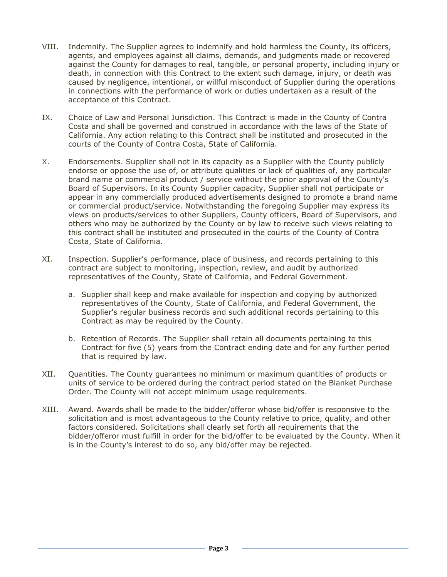- VIII. Indemnify. The Supplier agrees to indemnify and hold harmless the County, its officers, agents, and employees against all claims, demands, and judgments made or recovered against the County for damages to real, tangible, or personal property, including injury or death, in connection with this Contract to the extent such damage, injury, or death was caused by negligence, intentional, or willful misconduct of Supplier during the operations in connections with the performance of work or duties undertaken as a result of the acceptance of this Contract.
- IX. Choice of Law and Personal Jurisdiction. This Contract is made in the County of Contra Costa and shall be governed and construed in accordance with the laws of the State of California. Any action relating to this Contract shall be instituted and prosecuted in the courts of the County of Contra Costa, State of California.
- X. Endorsements. Supplier shall not in its capacity as a Supplier with the County publicly endorse or oppose the use of, or attribute qualities or lack of qualities of, any particular brand name or commercial product / service without the prior approval of the County's Board of Supervisors. In its County Supplier capacity, Supplier shall not participate or appear in any commercially produced advertisements designed to promote a brand name or commercial product/service. Notwithstanding the foregoing Supplier may express its views on products/services to other Suppliers, County officers, Board of Supervisors, and others who may be authorized by the County or by law to receive such views relating to this contract shall be instituted and prosecuted in the courts of the County of Contra Costa, State of California.
- XI. Inspection. Supplier's performance, place of business, and records pertaining to this contract are subject to monitoring, inspection, review, and audit by authorized representatives of the County, State of California, and Federal Government.
	- a. Supplier shall keep and make available for inspection and copying by authorized representatives of the County, State of California, and Federal Government, the Supplier's regular business records and such additional records pertaining to this Contract as may be required by the County.
	- b. Retention of Records. The Supplier shall retain all documents pertaining to this Contract for five (5) years from the Contract ending date and for any further period that is required by law.
- XII. Quantities. The County guarantees no minimum or maximum quantities of products or units of service to be ordered during the contract period stated on the Blanket Purchase Order. The County will not accept minimum usage requirements.
- XIII. Award. Awards shall be made to the bidder/offeror whose bid/offer is responsive to the solicitation and is most advantageous to the County relative to price, quality, and other factors considered. Solicitations shall clearly set forth all requirements that the bidder/offeror must fulfill in order for the bid/offer to be evaluated by the County. When it is in the County's interest to do so, any bid/offer may be rejected.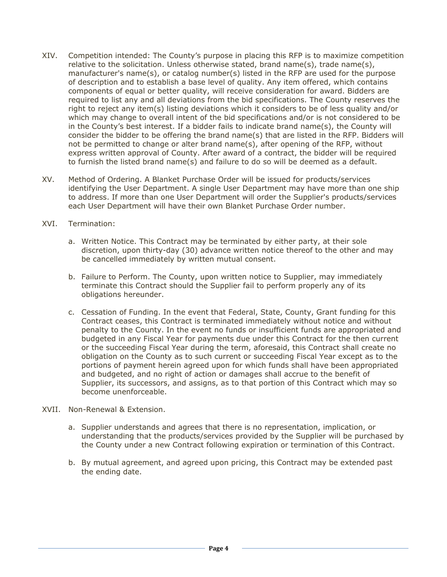- XIV. Competition intended: The County's purpose in placing this RFP is to maximize competition relative to the solicitation. Unless otherwise stated, brand name(s), trade name(s), manufacturer's name(s), or catalog number(s) listed in the RFP are used for the purpose of description and to establish a base level of quality. Any item offered, which contains components of equal or better quality, will receive consideration for award. Bidders are required to list any and all deviations from the bid specifications. The County reserves the right to reject any item(s) listing deviations which it considers to be of less quality and/or which may change to overall intent of the bid specifications and/or is not considered to be in the County's best interest. If a bidder fails to indicate brand name(s), the County will consider the bidder to be offering the brand name(s) that are listed in the RFP. Bidders will not be permitted to change or alter brand name(s), after opening of the RFP, without express written approval of County. After award of a contract, the bidder will be required to furnish the listed brand name(s) and failure to do so will be deemed as a default.
- XV. Method of Ordering. A Blanket Purchase Order will be issued for products/services identifying the User Department. A single User Department may have more than one ship to address. If more than one User Department will order the Supplier's products/services each User Department will have their own Blanket Purchase Order number.
- XVI. Termination:
	- a. Written Notice. This Contract may be terminated by either party, at their sole discretion, upon thirty-day (30) advance written notice thereof to the other and may be cancelled immediately by written mutual consent.
	- b. Failure to Perform. The County, upon written notice to Supplier, may immediately terminate this Contract should the Supplier fail to perform properly any of its obligations hereunder.
	- c. Cessation of Funding. In the event that Federal, State, County, Grant funding for this Contract ceases, this Contract is terminated immediately without notice and without penalty to the County. In the event no funds or insufficient funds are appropriated and budgeted in any Fiscal Year for payments due under this Contract for the then current or the succeeding Fiscal Year during the term, aforesaid, this Contract shall create no obligation on the County as to such current or succeeding Fiscal Year except as to the portions of payment herein agreed upon for which funds shall have been appropriated and budgeted, and no right of action or damages shall accrue to the benefit of Supplier, its successors, and assigns, as to that portion of this Contract which may so become unenforceable.
- XVII. Non-Renewal & Extension.
	- a. Supplier understands and agrees that there is no representation, implication, or understanding that the products/services provided by the Supplier will be purchased by the County under a new Contract following expiration or termination of this Contract.
	- b. By mutual agreement, and agreed upon pricing, this Contract may be extended past the ending date.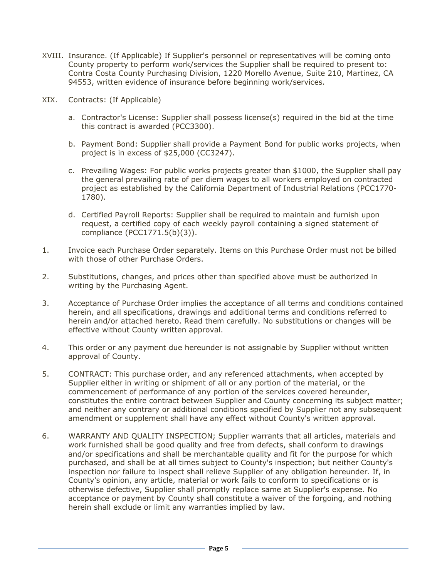- XVIII. Insurance. (If Applicable) If Supplier's personnel or representatives will be coming onto County property to perform work/services the Supplier shall be required to present to: Contra Costa County Purchasing Division, 1220 Morello Avenue, Suite 210, Martinez, CA 94553, written evidence of insurance before beginning work/services.
- XIX. Contracts: (If Applicable)
	- a. Contractor's License: Supplier shall possess license(s) required in the bid at the time this contract is awarded (PCC3300).
	- b. Payment Bond: Supplier shall provide a Payment Bond for public works projects, when project is in excess of \$25,000 (CC3247).
	- c. Prevailing Wages: For public works projects greater than \$1000, the Supplier shall pay the general prevailing rate of per diem wages to all workers employed on contracted project as established by the California Department of Industrial Relations (PCC1770- 1780).
	- d. Certified Payroll Reports: Supplier shall be required to maintain and furnish upon request, a certified copy of each weekly payroll containing a signed statement of compliance (PCC1771.5(b)(3)).
- 1. Invoice each Purchase Order separately. Items on this Purchase Order must not be billed with those of other Purchase Orders.
- 2. Substitutions, changes, and prices other than specified above must be authorized in writing by the Purchasing Agent.
- 3. Acceptance of Purchase Order implies the acceptance of all terms and conditions contained herein, and all specifications, drawings and additional terms and conditions referred to herein and/or attached hereto. Read them carefully. No substitutions or changes will be effective without County written approval.
- 4. This order or any payment due hereunder is not assignable by Supplier without written approval of County.
- 5. CONTRACT: This purchase order, and any referenced attachments, when accepted by Supplier either in writing or shipment of all or any portion of the material, or the commencement of performance of any portion of the services covered hereunder, constitutes the entire contract between Supplier and County concerning its subject matter; and neither any contrary or additional conditions specified by Supplier not any subsequent amendment or supplement shall have any effect without County's written approval.
- 6. WARRANTY AND QUALITY INSPECTION; Supplier warrants that all articles, materials and work furnished shall be good quality and free from defects, shall conform to drawings and/or specifications and shall be merchantable quality and fit for the purpose for which purchased, and shall be at all times subject to County's inspection; but neither County's inspection nor failure to inspect shall relieve Supplier of any obligation hereunder. If, in County's opinion, any article, material or work fails to conform to specifications or is otherwise defective, Supplier shall promptly replace same at Supplier's expense. No acceptance or payment by County shall constitute a waiver of the forgoing, and nothing herein shall exclude or limit any warranties implied by law.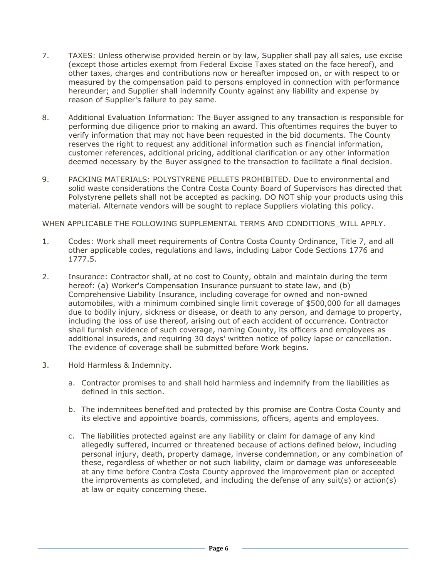- 7. TAXES: Unless otherwise provided herein or by law, Supplier shall pay all sales, use excise (except those articles exempt from Federal Excise Taxes stated on the face hereof), and other taxes, charges and contributions now or hereafter imposed on, or with respect to or measured by the compensation paid to persons employed in connection with performance hereunder; and Supplier shall indemnify County against any liability and expense by reason of Supplier's failure to pay same.
- 8. Additional Evaluation Information: The Buyer assigned to any transaction is responsible for performing due diligence prior to making an award. This oftentimes requires the buyer to verify information that may not have been requested in the bid documents. The County reserves the right to request any additional information such as financial information, customer references, additional pricing, additional clarification or any other information deemed necessary by the Buyer assigned to the transaction to facilitate a final decision.
- 9. PACKING MATERIALS: POLYSTYRENE PELLETS PROHIBITED. Due to environmental and solid waste considerations the Contra Costa County Board of Supervisors has directed that Polystyrene pellets shall not be accepted as packing. DO NOT ship your products using this material. Alternate vendors will be sought to replace Suppliers violating this policy.

WHEN APPLICABLE THE FOLLOWING SUPPLEMENTAL TERMS AND CONDITIONS\_WILL APPLY.

- 1. Codes: Work shall meet requirements of Contra Costa County Ordinance, Title 7, and all other applicable codes, regulations and laws, including Labor Code Sections 1776 and 1777.5.
- 2. Insurance: Contractor shall, at no cost to County, obtain and maintain during the term hereof: (a) Worker's Compensation Insurance pursuant to state law, and (b) Comprehensive Liability Insurance, including coverage for owned and non-owned automobiles, with a minimum combined single limit coverage of \$500,000 for all damages due to bodily injury, sickness or disease, or death to any person, and damage to property, including the loss of use thereof, arising out of each accident of occurrence. Contractor shall furnish evidence of such coverage, naming County, its officers and employees as additional insureds, and requiring 30 days' written notice of policy lapse or cancellation. The evidence of coverage shall be submitted before Work begins.
- 3. Hold Harmless & Indemnity.
	- a. Contractor promises to and shall hold harmless and indemnify from the liabilities as defined in this section.
	- b. The indemnitees benefited and protected by this promise are Contra Costa County and its elective and appointive boards, commissions, officers, agents and employees.
	- c. The liabilities protected against are any liability or claim for damage of any kind allegedly suffered, incurred or threatened because of actions defined below, including personal injury, death, property damage, inverse condemnation, or any combination of these, regardless of whether or not such liability, claim or damage was unforeseeable at any time before Contra Costa County approved the improvement plan or accepted the improvements as completed, and including the defense of any suit(s) or action(s) at law or equity concerning these.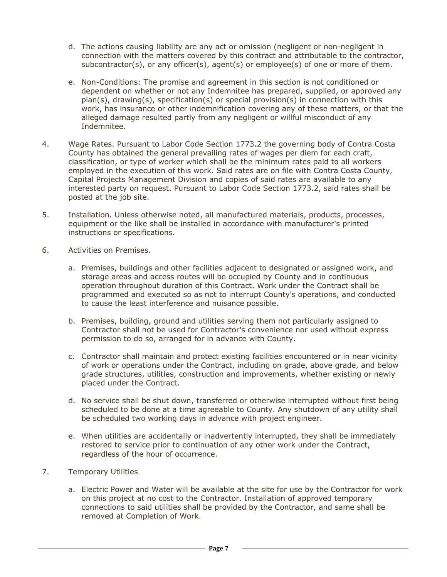- d. The actions causing liability are any act or omission (negligent or non-negligent in connection with the matters covered by this contract and attributable to the contractor, subcontractor(s), or any officer(s), agent(s) or employee(s) of one or more of them.
- e. Non-Conditions: The promise and agreement in this section is not conditioned or dependent on whether or not any Indemnitee has prepared, supplied, or approved any plan(s), drawing(s), specification(s) or special provision(s) in connection with this work, has insurance or other indemnification covering any of these matters, or that the alleged damage resulted partly from any negligent or willful misconduct of any Indemnitee.
- 4. Wage Rates. Pursuant to Labor Code Section 1773.2 the governing body of Contra Costa County has obtained the general prevailing rates of wages per diem for each craft, classification, or type of worker which shall be the minimum rates paid to all workers employed in the execution of this work. Said rates are on file with Contra Costa County, Capital Projects Management Division and copies of said rates are available to any interested party on request. Pursuant to Labor Code Section 1773.2, said rates shall be posted at the job site.
- 5. Installation. Unless otherwise noted, all manufactured materials, products, processes, equipment or the like shall be installed in accordance with manufacturer's printed instructions or specifications.
- 6. Activities on Premises.
	- a. Premises, buildings and other facilities adjacent to designated or assigned work, and storage areas and access routes will be occupied by County and in continuous operation throughout duration of this Contract. Work under the Contract shall be programmed and executed so as not to interrupt County's operations, and conducted to cause the least interference and nuisance possible.
	- b. Premises, building, ground and utilities serving them not particularly assigned to Contractor shall not be used for Contractor's convenience nor used without express permission to do so, arranged for in advance with County.
	- c. Contractor shall maintain and protect existing facilities encountered or in near vicinity of work or operations under the Contract, including on grade, above grade, and below grade structures, utilities, construction and improvements, whether existing or newly placed under the Contract.
	- d. No service shall be shut down, transferred or otherwise interrupted without first being scheduled to be done at a time agreeable to County. Any shutdown of any utility shall be scheduled two working days in advance with project engineer.
	- e. When utilities are accidentally or inadvertently interrupted, they shall be immediately restored to service prior to continuation of any other work under the Contract, regardless of the hour of occurrence.
- 7. Temporary Utilities
	- a. Electric Power and Water will be available at the site for use by the Contractor for work on this project at no cost to the Contractor. Installation of approved temporary connections to said utilities shall be provided by the Contractor, and same shall be removed at Completion of Work.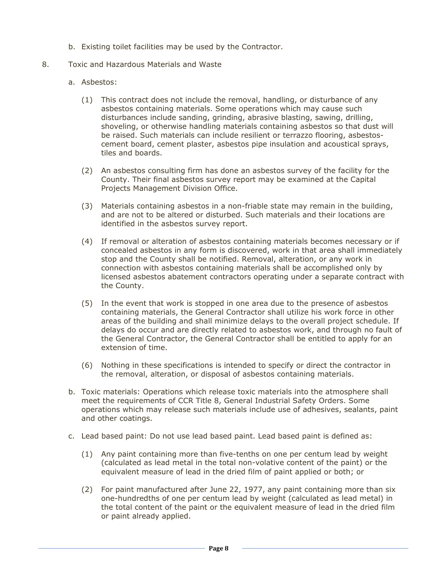- b. Existing toilet facilities may be used by the Contractor.
- 8. Toxic and Hazardous Materials and Waste
	- a. Asbestos:
		- (1) This contract does not include the removal, handling, or disturbance of any asbestos containing materials. Some operations which may cause such disturbances include sanding, grinding, abrasive blasting, sawing, drilling, shoveling, or otherwise handling materials containing asbestos so that dust will be raised. Such materials can include resilient or terrazzo flooring, asbestoscement board, cement plaster, asbestos pipe insulation and acoustical sprays, tiles and boards.
		- (2) An asbestos consulting firm has done an asbestos survey of the facility for the County. Their final asbestos survey report may be examined at the Capital Projects Management Division Office.
		- (3) Materials containing asbestos in a non-friable state may remain in the building, and are not to be altered or disturbed. Such materials and their locations are identified in the asbestos survey report.
		- (4) If removal or alteration of asbestos containing materials becomes necessary or if concealed asbestos in any form is discovered, work in that area shall immediately stop and the County shall be notified. Removal, alteration, or any work in connection with asbestos containing materials shall be accomplished only by licensed asbestos abatement contractors operating under a separate contract with the County.
		- (5) In the event that work is stopped in one area due to the presence of asbestos containing materials, the General Contractor shall utilize his work force in other areas of the building and shall minimize delays to the overall project schedule. If delays do occur and are directly related to asbestos work, and through no fault of the General Contractor, the General Contractor shall be entitled to apply for an extension of time.
		- (6) Nothing in these specifications is intended to specify or direct the contractor in the removal, alteration, or disposal of asbestos containing materials.
	- b. Toxic materials: Operations which release toxic materials into the atmosphere shall meet the requirements of CCR Title 8, General Industrial Safety Orders. Some operations which may release such materials include use of adhesives, sealants, paint and other coatings.
	- c. Lead based paint: Do not use lead based paint. Lead based paint is defined as:
		- (1) Any paint containing more than five-tenths on one per centum lead by weight (calculated as lead metal in the total non-volative content of the paint) or the equivalent measure of lead in the dried film of paint applied or both; or
		- (2) For paint manufactured after June 22, 1977, any paint containing more than six one-hundredths of one per centum lead by weight (calculated as lead metal) in the total content of the paint or the equivalent measure of lead in the dried film or paint already applied.